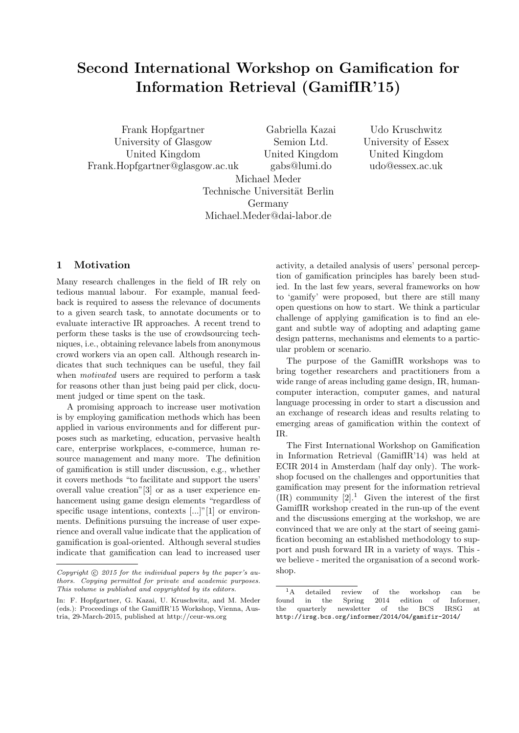# Second International Workshop on Gamification for Information Retrieval (GamifIR'15)

Frank Hopfgartner University of Glasgow United Kingdom Frank.Hopfgartner@glasgow.ac.uk Gabriella Kazai Semion Ltd. United Kingdom gabs@lumi.do Udo Kruschwitz University of Essex United Kingdom udo@essex.ac.uk Michael Meder Technische Universität Berlin Germany Michael.Meder@dai-labor.de

#### 1 Motivation

Many research challenges in the field of IR rely on tedious manual labour. For example, manual feedback is required to assess the relevance of documents to a given search task, to annotate documents or to evaluate interactive IR approaches. A recent trend to perform these tasks is the use of crowdsourcing techniques, i.e., obtaining relevance labels from anonymous crowd workers via an open call. Although research indicates that such techniques can be useful, they fail when motivated users are required to perform a task for reasons other than just being paid per click, document judged or time spent on the task.

A promising approach to increase user motivation is by employing gamification methods which has been applied in various environments and for different purposes such as marketing, education, pervasive health care, enterprise workplaces, e-commerce, human resource management and many more. The definition of gamification is still under discussion, e.g., whether it covers methods "to facilitate and support the users' overall value creation"[3] or as a user experience enhancement using game design elements "regardless of specific usage intentions, contexts [...]"[1] or environments. Definitions pursuing the increase of user experience and overall value indicate that the application of gamification is goal-oriented. Although several studies indicate that gamification can lead to increased user

activity, a detailed analysis of users' personal perception of gamification principles has barely been studied. In the last few years, several frameworks on how to 'gamify' were proposed, but there are still many open questions on how to start. We think a particular challenge of applying gamification is to find an elegant and subtle way of adopting and adapting game design patterns, mechanisms and elements to a particular problem or scenario.

The purpose of the GamifIR workshops was to bring together researchers and practitioners from a wide range of areas including game design, IR, humancomputer interaction, computer games, and natural language processing in order to start a discussion and an exchange of research ideas and results relating to emerging areas of gamification within the context of IR.

The First International Workshop on Gamification in Information Retrieval (GamifIR'14) was held at ECIR 2014 in Amsterdam (half day only). The workshop focused on the challenges and opportunities that gamification may present for the information retrieval  $(IR)$  community  $[2].<sup>1</sup>$  Given the interest of the first GamifIR workshop created in the run-up of the event and the discussions emerging at the workshop, we are convinced that we are only at the start of seeing gamification becoming an established methodology to support and push forward IR in a variety of ways. This we believe - merited the organisation of a second workshop.

Copyright  $\odot$  2015 for the individual papers by the paper's authors. Copying permitted for private and academic purposes. This volume is published and copyrighted by its editors.

In: F. Hopfgartner, G. Kazai, U. Kruschwitz, and M. Meder (eds.): Proceedings of the GamifIR'15 Workshop, Vienna, Austria, 29-March-2015, published at http://ceur-ws.org

<sup>1</sup>A detailed review of the workshop can be found in the Spring 2014 edition of Informer, the quarterly newsletter of the BCS IRSG at http://irsg.bcs.org/informer/2014/04/gamifir-2014/